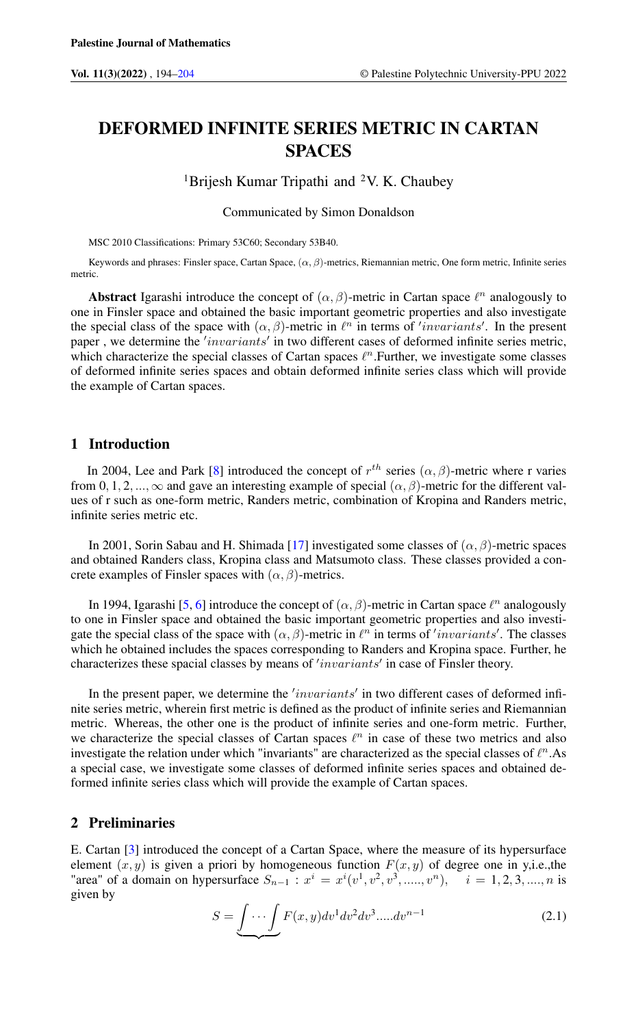# DEFORMED INFINITE SERIES METRIC IN CARTAN **SPACES**

<sup>1</sup>Brijesh Kumar Tripathi and <sup>2</sup>V. K. Chaubey

Communicated by Simon Donaldson

MSC 2010 Classifications: Primary 53C60; Secondary 53B40.

Keywords and phrases: Finsler space, Cartan Space,  $(\alpha, \beta)$ -metrics, Riemannian metric, One form metric, Infinite series metric.

Abstract Igarashi introduce the concept of  $(\alpha, \beta)$ -metric in Cartan space  $\ell^n$  analogously to one in Finsler space and obtained the basic important geometric properties and also investigate the special class of the space with  $(\alpha, \beta)$ -metric in  $\ell^n$  in terms of 'invariants'. In the present paper, we determine the 'invariants' in two different cases of deformed infinite series metric, which characterize the special classes of Cartan spaces  $\ell^n$ . Further, we investigate some classes of deformed infinite series spaces and obtain deformed infinite series class which will provide the example of Cartan spaces.

## 1 Introduction

In 2004, Lee and Park [\[8\]](#page-9-1) introduced the concept of  $r^{th}$  series  $(\alpha, \beta)$ -metric where r varies from 0, 1, 2, ...,  $\infty$  and gave an interesting example of special  $(\alpha, \beta)$ -metric for the different values of r such as one-form metric, Randers metric, combination of Kropina and Randers metric, infinite series metric etc.

In 2001, Sorin Sabau and H. Shimada [\[17\]](#page-10-0) investigated some classes of  $(\alpha, \beta)$ -metric spaces and obtained Randers class, Kropina class and Matsumoto class. These classes provided a concrete examples of Finsler spaces with  $(\alpha, \beta)$ -metrics.

In 1994, Igarashi [\[5,](#page-9-2) [6\]](#page-9-3) introduce the concept of  $(\alpha, \beta)$ -metric in Cartan space  $\ell^n$  analogously to one in Finsler space and obtained the basic important geometric properties and also investigate the special class of the space with  $(\alpha, \beta)$ -metric in  $\ell^n$  in terms of 'invariants'. The classes which he obtained includes the spaces corresponding to Randers and Kropina space. Further, he characterizes these spacial classes by means of 'invariants' in case of Finsler theory.

In the present paper, we determine the 'invariants' in two different cases of deformed infinite series metric, wherein first metric is defined as the product of infinite series and Riemannian metric. Whereas, the other one is the product of infinite series and one-form metric. Further, we characterize the special classes of Cartan spaces  $\ell^n$  in case of these two metrics and also investigate the relation under which "invariants" are characterized as the special classes of  $\ell^n$ . As a special case, we investigate some classes of deformed infinite series spaces and obtained deformed infinite series class which will provide the example of Cartan spaces.

### 2 Preliminaries

E. Cartan [\[3\]](#page-9-4) introduced the concept of a Cartan Space, where the measure of its hypersurface element  $(x, y)$  is given a priori by homogeneous function  $F(x, y)$  of degree one in y,i.e.,the "area" of a domain on hypersurface  $S_{n-1}$ :  $x^i = x^i(v^1, v^2, v^3, \dots, v^n)$ ,  $i = 1, 2, 3, \dots, n$  is given by

$$
S = \underbrace{\int \cdots \int}_{\sim} F(x, y) dv^1 dv^2 dv^3 \dots dv^{n-1}
$$
\n(2.1)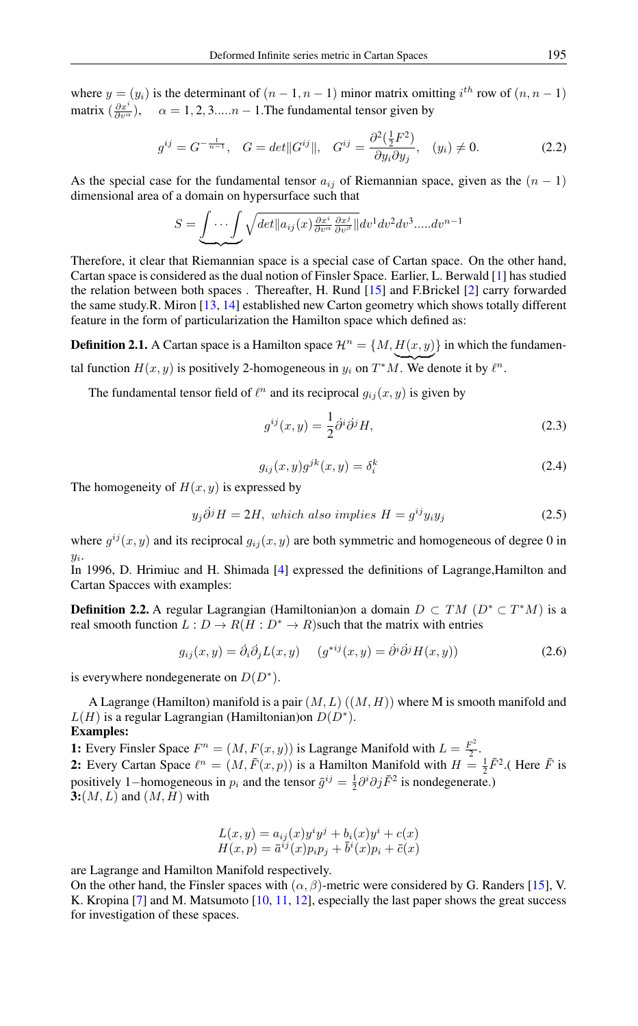where  $y = (y_i)$  is the determinant of  $(n-1, n-1)$  minor matrix omitting  $i^{th}$  row of  $(n, n-1)$ matrix  $(\frac{\partial x^i}{\partial v^\alpha})$ ,  $\alpha = 1, 2, 3,....n - 1$ . The fundamental tensor given by

$$
g^{ij} = G^{-\frac{1}{n-1}}, \quad G = det||G^{ij}||, \quad G^{ij} = \frac{\partial^2(\frac{1}{2}F^2)}{\partial y_i \partial y_j}, \quad (y_i) \neq 0.
$$
 (2.2)

As the special case for the fundamental tensor  $a_{ij}$  of Riemannian space, given as the  $(n - 1)$ dimensional area of a domain on hypersurface such that

$$
S = \underbrace{\int \cdots \int}_{\sim} \sqrt{\det \left\| a_{ij}(x) \frac{\partial x^i}{\partial v^{\alpha}} \frac{\partial x^j}{\partial v^{\beta}} \right\|} dv^1 dv^2 dv^3 \dots dv^{n-1}
$$

Therefore, it clear that Riemannian space is a special case of Cartan space. On the other hand, Cartan space is considered as the dual notion of Finsler Space. Earlier, L. Berwald [\[1\]](#page-9-5) has studied the relation between both spaces . Thereafter, H. Rund [\[15\]](#page-10-1) and F.Brickel [\[2\]](#page-9-6) carry forwarded the same study.R. Miron [\[13,](#page-9-7) [14\]](#page-9-8) established new Carton geometry which shows totally different feature in the form of particularization the Hamilton space which defined as:

**Definition 2.1.** A Cartan space is a Hamilton space  $\mathcal{H}^n = \{M, H(x, y)\}\$  in which the fundamental function  $H(x, y)$  is positively 2-homogeneous in  $y_i$  on  $T^*M$ . We denote it by  $\ell^n$ .

The fundamental tensor field of  $\ell^n$  and its reciprocal  $g_{ij}(x, y)$  is given by

$$
g^{ij}(x,y) = \frac{1}{2}\partial^i \partial^j H,\tag{2.3}
$$

$$
g_{ij}(x,y)g^{jk}(x,y) = \delta_i^k \tag{2.4}
$$

The homogeneity of  $H(x, y)$  is expressed by

$$
y_j \dot{\partial}^j H = 2H, which also implies H = g^{ij} y_i y_j \tag{2.5}
$$

where  $g^{ij}(x, y)$  and its reciprocal  $g_{ij}(x, y)$  are both symmetric and homogeneous of degree 0 in  $y_i$ .

In 1996, D. Hrimiuc and H. Shimada [\[4\]](#page-9-9) expressed the definitions of Lagrange,Hamilton and Cartan Spacces with examples:

**Definition 2.2.** A regular Lagrangian (Hamiltonian)on a domain  $D \subset TM$   $(D^* \subset T^*M)$  is a real smooth function  $L: D \to R(H: D^* \to R)$  such that the matrix with entries

$$
g_{ij}(x,y) = \partial_i \partial_j L(x,y) \qquad (g^{*ij}(x,y) = \partial^i \partial^j H(x,y)) \tag{2.6}
$$

is everywhere nondegenerate on  $D(D^*)$ .

A Lagrange (Hamilton) manifold is a pair  $(M, L)$   $((M, H))$  where M is smooth manifold and  $L(H)$  is a regular Lagrangian (Hamiltonian) on  $D(D^*)$ .

### Examples:

**1:** Every Finsler Space  $F^n = (M, F(x, y))$  is Lagrange Manifold with  $L = \frac{F^2}{2}$  $\frac{1}{2}$ . **2:** Every Cartan Space  $\ell^n = (M, \bar{F}(x, p))$  is a Hamilton Manifold with  $H = \frac{1}{2}\bar{F}^2$ . (Here  $\bar{F}$  is positively 1–homogeneous in  $p_i$  and the tensor  $\bar{g}^{ij} = \frac{1}{2} \partial^i \partial j \bar{F}^2$  is nondegenerate.)  $3:(M,L)$  and  $(M,H)$  with

$$
L(x,y) = a_{ij}(x)y^iy^j + b_i(x)y^i + c(x)
$$
  

$$
H(x,p) = \overline{a}^{ij}(x)p_ip_j + \overline{b}^i(x)p_i + \overline{c}(x)
$$

are Lagrange and Hamilton Manifold respectively.

On the other hand, the Finsler spaces with  $(\alpha, \beta)$ -metric were considered by G. Randers [\[15\]](#page-10-1), V. K. Kropina [\[7\]](#page-9-10) and M. Matsumoto [\[10,](#page-9-11) [11,](#page-9-12) [12\]](#page-9-13), especially the last paper shows the great success for investigation of these spaces.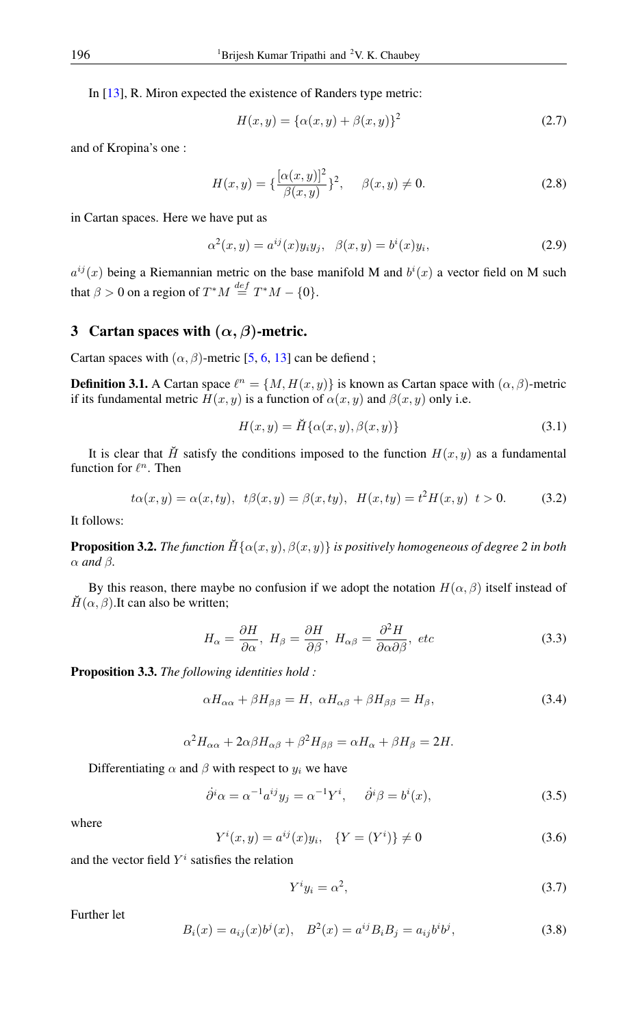In [\[13\]](#page-9-7), R. Miron expected the existence of Randers type metric:

$$
H(x, y) = {\alpha(x, y) + \beta(x, y)}^2
$$
 (2.7)

and of Kropina's one :

$$
H(x,y) = \{\frac{[\alpha(x,y)]^2}{\beta(x,y)}\}^2, \quad \beta(x,y) \neq 0.
$$
 (2.8)

in Cartan spaces. Here we have put as

$$
\alpha^{2}(x, y) = a^{ij}(x)y_{i}y_{j}, \quad \beta(x, y) = b^{i}(x)y_{i}, \tag{2.9}
$$

 $a^{ij}(x)$  being a Riemannian metric on the base manifold M and  $b^{i}(x)$  a vector field on M such that  $\beta > 0$  on a region of  $T^*M \stackrel{def}{=} T^*M - \{0\}.$ 

## 3 Cartan spaces with  $(\alpha, \beta)$ -metric.

Cartan spaces with  $(\alpha, \beta)$ -metric [\[5,](#page-9-2) [6,](#page-9-3) [13\]](#page-9-7) can be defiend;

**Definition 3.1.** A Cartan space  $\ell^n = \{M, H(x, y)\}\$ is known as Cartan space with  $(\alpha, \beta)$ -metric if its fundamental metric  $H(x, y)$  is a function of  $\alpha(x, y)$  and  $\beta(x, y)$  only i.e.

$$
H(x,y) = \breve{H}\{\alpha(x,y), \beta(x,y)\}\tag{3.1}
$$

It is clear that H<sup> $\dot{H}$ </sup> satisfy the conditions imposed to the function  $H(x, y)$  as a fundamental function for  $\ell^n$ . Then

$$
t\alpha(x,y) = \alpha(x,ty), \ \ t\beta(x,y) = \beta(x,ty), \ \ H(x,ty) = t^2H(x,y) \ \ t > 0. \tag{3.2}
$$

It follows:

**Proposition 3.2.** *The function*  $H\{\alpha(x, y), \beta(x, y)\}$  *is positively homogeneous of degree 2 in both*  $\alpha$  *and*  $\beta$ *.* 

By this reason, there maybe no confusion if we adopt the notation  $H(\alpha, \beta)$  itself instead of  $H(\alpha, \beta)$ .It can also be written;

$$
H_{\alpha} = \frac{\partial H}{\partial \alpha}, \ H_{\beta} = \frac{\partial H}{\partial \beta}, \ H_{\alpha\beta} = \frac{\partial^2 H}{\partial \alpha \partial \beta}, \ etc
$$
 (3.3)

Proposition 3.3. *The following identities hold :*

$$
\alpha H_{\alpha\alpha} + \beta H_{\beta\beta} = H, \ \alpha H_{\alpha\beta} + \beta H_{\beta\beta} = H_{\beta},\tag{3.4}
$$

$$
\alpha^2 H_{\alpha\alpha} + 2\alpha\beta H_{\alpha\beta} + \beta^2 H_{\beta\beta} = \alpha H_{\alpha} + \beta H_{\beta} = 2H.
$$

Differentiating  $\alpha$  and  $\beta$  with respect to  $y_i$  we have

$$
\dot{\partial}^i \alpha = \alpha^{-1} a^{ij} y_j = \alpha^{-1} Y^i, \quad \dot{\partial}^i \beta = b^i(x), \tag{3.5}
$$

where

$$
Y^{i}(x, y) = a^{ij}(x)y_{i}, \quad \{Y = (Y^{i})\} \neq 0
$$
\n(3.6)

and the vector field  $Y^i$  satisfies the relation

$$
Y^i y_i = \alpha^2,\tag{3.7}
$$

Further let

$$
B_i(x) = a_{ij}(x)b^j(x), \quad B^2(x) = a^{ij}B_iB_j = a_{ij}b^ib^j,
$$
\n(3.8)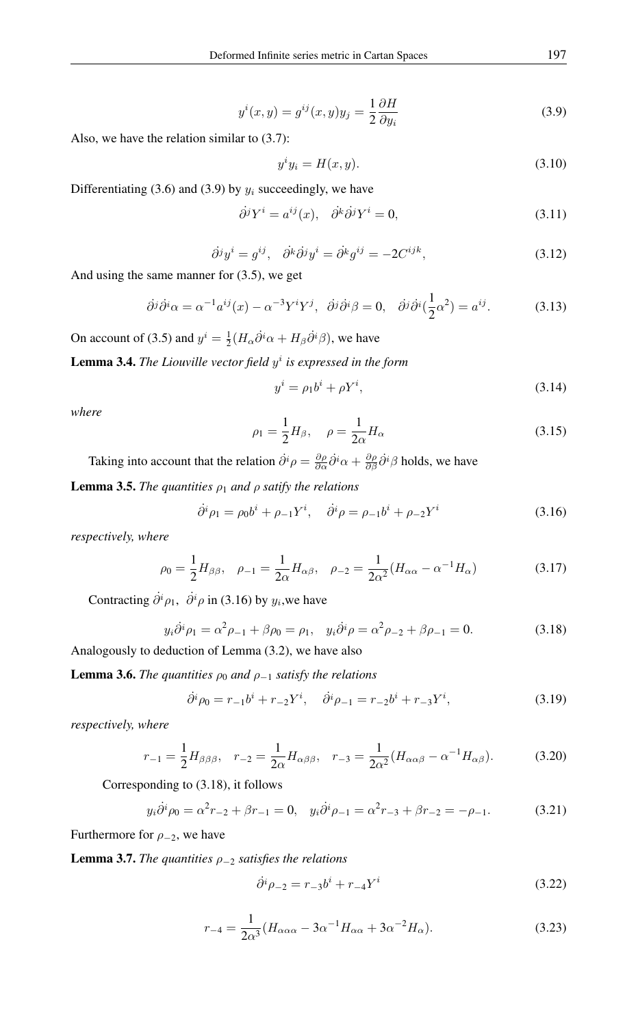$$
y^{i}(x,y) = g^{ij}(x,y)y_{j} = \frac{1}{2} \frac{\partial H}{\partial y_{i}}
$$
\n(3.9)

Also, we have the relation similar to (3.7):

$$
y^i y_i = H(x, y). \tag{3.10}
$$

Differentiating (3.6) and (3.9) by  $y_i$  succeedingly, we have

$$
\partial^j Y^i = a^{ij}(x), \quad \partial^k \partial^j Y^i = 0,
$$
\n(3.11)

$$
\partial^j y^i = g^{ij}, \quad \partial^k \partial^j y^i = \partial^k g^{ij} = -2C^{ijk}, \tag{3.12}
$$

And using the same manner for (3.5), we get

$$
\partial^j \partial^i \alpha = \alpha^{-1} a^{ij}(x) - \alpha^{-3} Y^i Y^j, \quad \partial^j \partial^i \beta = 0, \quad \partial^j \partial^i \left(\frac{1}{2} \alpha^2\right) = a^{ij}.
$$
 (3.13)

On account of (3.5) and  $y^i = \frac{1}{2}(H_\alpha \dot{\partial}^i \alpha + H_\beta \dot{\partial}^i \beta)$ , we have

**Lemma 3.4.** The Liouville vector field  $y^i$  is expressed in the form

$$
y^i = \rho_1 b^i + \rho Y^i,\tag{3.14}
$$

*where*

$$
\rho_1 = \frac{1}{2}H_\beta, \quad \rho = \frac{1}{2\alpha}H_\alpha \tag{3.15}
$$

Taking into account that the relation  $\partial^i \rho = \frac{\partial \rho}{\partial \alpha} \partial^i \alpha + \frac{\partial \rho}{\partial \beta} \partial^i \beta$  holds, we have

**Lemma 3.5.** *The quantities*  $\rho_1$  *and*  $\rho$  *satify the relations* 

$$
\dot{\partial}^i \rho_1 = \rho_0 b^i + \rho_{-1} Y^i, \quad \dot{\partial}^i \rho = \rho_{-1} b^i + \rho_{-2} Y^i \tag{3.16}
$$

*respectively, where*

$$
\rho_0 = \frac{1}{2} H_{\beta\beta}, \quad \rho_{-1} = \frac{1}{2\alpha} H_{\alpha\beta}, \quad \rho_{-2} = \frac{1}{2\alpha^2} (H_{\alpha\alpha} - \alpha^{-1} H_{\alpha})
$$
(3.17)

Contracting  $\partial^i \rho_1$ ,  $\partial^i \rho$  in (3.16) by  $y_i$ , we have

$$
y_i \partial^i \rho_1 = \alpha^2 \rho_{-1} + \beta \rho_0 = \rho_1, \quad y_i \partial^i \rho = \alpha^2 \rho_{-2} + \beta \rho_{-1} = 0. \tag{3.18}
$$

Analogously to deduction of Lemma (3.2), we have also

**Lemma 3.6.** *The quantities*  $\rho_0$  *and*  $\rho_{-1}$  *satisfy the relations* 

$$
\dot{\partial}^i \rho_0 = r_{-1}b^i + r_{-2}Y^i, \quad \dot{\partial}^i \rho_{-1} = r_{-2}b^i + r_{-3}Y^i,
$$
\n(3.19)

*respectively, where*

$$
r_{-1} = \frac{1}{2} H_{\beta\beta\beta}, \quad r_{-2} = \frac{1}{2\alpha} H_{\alpha\beta\beta}, \quad r_{-3} = \frac{1}{2\alpha^2} (H_{\alpha\alpha\beta} - \alpha^{-1} H_{\alpha\beta}).
$$
 (3.20)

Corresponding to (3.18), it follows

$$
y_i \dot{\partial}^i \rho_0 = \alpha^2 r_{-2} + \beta r_{-1} = 0, \quad y_i \dot{\partial}^i \rho_{-1} = \alpha^2 r_{-3} + \beta r_{-2} = -\rho_{-1}.
$$
 (3.21)

Furthermore for  $\rho_{-2}$ , we have

Lemma 3.7. *The quantities* ρ<sup>−</sup><sup>2</sup> *satisfies the relations*

$$
\dot{\partial}^i \rho_{-2} = r_{-3}b^i + r_{-4}Y^i \tag{3.22}
$$

$$
r_{-4} = \frac{1}{2\alpha^3} (H_{\alpha\alpha\alpha} - 3\alpha^{-1} H_{\alpha\alpha} + 3\alpha^{-2} H_{\alpha}).
$$
 (3.23)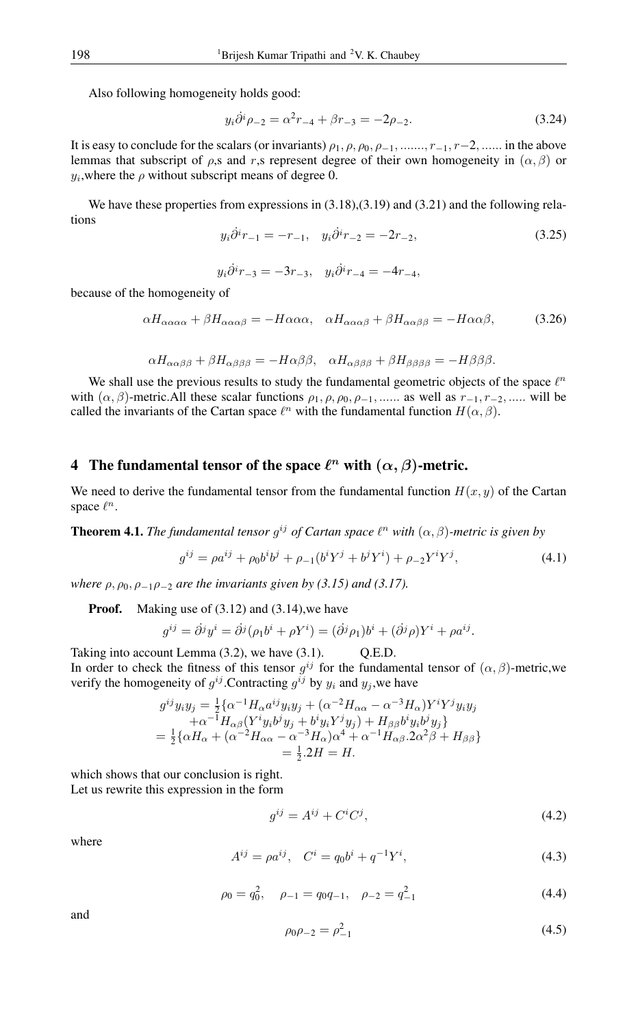Also following homogeneity holds good:

$$
y_i \dot{\partial}^i \rho_{-2} = \alpha^2 r_{-4} + \beta r_{-3} = -2\rho_{-2}.
$$
 (3.24)

It is easy to conclude for the scalars (or invariants)  $\rho_1$ ,  $\rho$ ,  $\rho_0$ ,  $\rho_{-1}$ , ......,  $r_{-1}$ ,  $r_{-2}$ , ...... in the above lemmas that subscript of  $\rho$ ,s and r,s represent degree of their own homogeneity in  $(\alpha, \beta)$  or  $y_i$ , where the  $\rho$  without subscript means of degree 0.

We have these properties from expressions in  $(3.18)$ , $(3.19)$  and  $(3.21)$  and the following relations

$$
y_i \dot{\partial}^i r_{-1} = -r_{-1}, \quad y_i \dot{\partial}^i r_{-2} = -2r_{-2}, \tag{3.25}
$$

$$
y_i \dot{\partial}^i r_{-3} = -3r_{-3}, \quad y_i \dot{\partial}^i r_{-4} = -4r_{-4},
$$

because of the homogeneity of

$$
\alpha H_{\alpha\alpha\alpha\alpha} + \beta H_{\alpha\alpha\alpha\beta} = -H \alpha \alpha \alpha, \quad \alpha H_{\alpha\alpha\alpha\beta} + \beta H_{\alpha\alpha\beta\beta} = -H \alpha \alpha \beta, \tag{3.26}
$$

$$
\alpha H_{\alpha\alpha\beta\beta} + \beta H_{\alpha\beta\beta\beta} = -H\alpha\beta\beta, \quad \alpha H_{\alpha\beta\beta\beta} + \beta H_{\beta\beta\beta\beta} = -H\beta\beta\beta.
$$

We shall use the previous results to study the fundamental geometric objects of the space  $\ell^n$ with  $(\alpha, \beta)$ -metric.All these scalar functions  $\rho_1, \rho, \rho_0, \rho_{-1}, \ldots$  as well as  $r_{-1}, r_{-2}, \ldots$  will be called the invariants of the Cartan space  $\ell^n$  with the fundamental function  $H(\alpha, \beta)$ .

# 4 The fundamental tensor of the space  $\ell^n$  with  $(\alpha, \beta)$ -metric.

We need to derive the fundamental tensor from the fundamental function  $H(x, y)$  of the Cartan space  $\ell^n$ .

**Theorem 4.1.** *The fundamental tensor g<sup>ij</sup> of Cartan space*  $\ell^n$  *with*  $(\alpha, \beta)$ *-metric is given by* 

$$
g^{ij} = \rho a^{ij} + \rho_0 b^i b^j + \rho_{-1} (b^i Y^j + b^j Y^i) + \rho_{-2} Y^i Y^j,
$$
\n(4.1)

*where*  $\rho$ ,  $\rho$ <sub>0</sub>,  $\rho$ <sub>-1</sub> $\rho$ <sub>-2</sub> *are the invariants given by (3.15) and (3.17).* 

**Proof.** Making use of (3.12) and (3.14), we have

$$
g^{ij} = \partial^j y^i = \partial^j (\rho_1 b^i + \rho Y^i) = (\partial^j \rho_1) b^i + (\partial^j \rho) Y^i + \rho a^{ij}.
$$

Taking into account Lemma (3.2), we have (3.1). Q.E.D. In order to check the fitness of this tensor  $g^{ij}$  for the fundamental tensor of  $(\alpha, \beta)$ -metric, we verify the homogeneity of  $g^{ij}$ . Contracting  $g^{ij}$  by  $y_i$  and  $y_j$ , we have

$$
g^{ij}y_iy_j = \frac{1}{2}\{\alpha^{-1}H_{\alpha}a^{ij}y_iy_j + (\alpha^{-2}H_{\alpha\alpha} - \alpha^{-3}H_{\alpha})Y^iY^jy_iy_j
$$
  

$$
+\alpha^{-1}H_{\alpha\beta}(Y^iy_ib^jy_j + b^iy_iY^jy_j) + H_{\beta\beta}b^iy_ib^jy_j\}
$$
  

$$
= \frac{1}{2}\{\alpha H_{\alpha} + (\alpha^{-2}H_{\alpha\alpha} - \alpha^{-3}H_{\alpha})\alpha^4 + \alpha^{-1}H_{\alpha\beta}.2\alpha^2\beta + H_{\beta\beta}\}
$$
  

$$
= \frac{1}{2}.2H = H.
$$

which shows that our conclusion is right. Let us rewrite this expression in the form

$$
g^{ij} = A^{ij} + C^i C^j,\tag{4.2}
$$

where

$$
A^{ij} = \rho a^{ij}, \quad C^i = q_0 b^i + q^{-1} Y^i,
$$
\n(4.3)

$$
\rho_0 = q_0^2, \quad \rho_{-1} = q_0 q_{-1}, \quad \rho_{-2} = q_{-1}^2 \tag{4.4}
$$

and

$$
\rho_0 \rho_{-2} = \rho_{-1}^2 \tag{4.5}
$$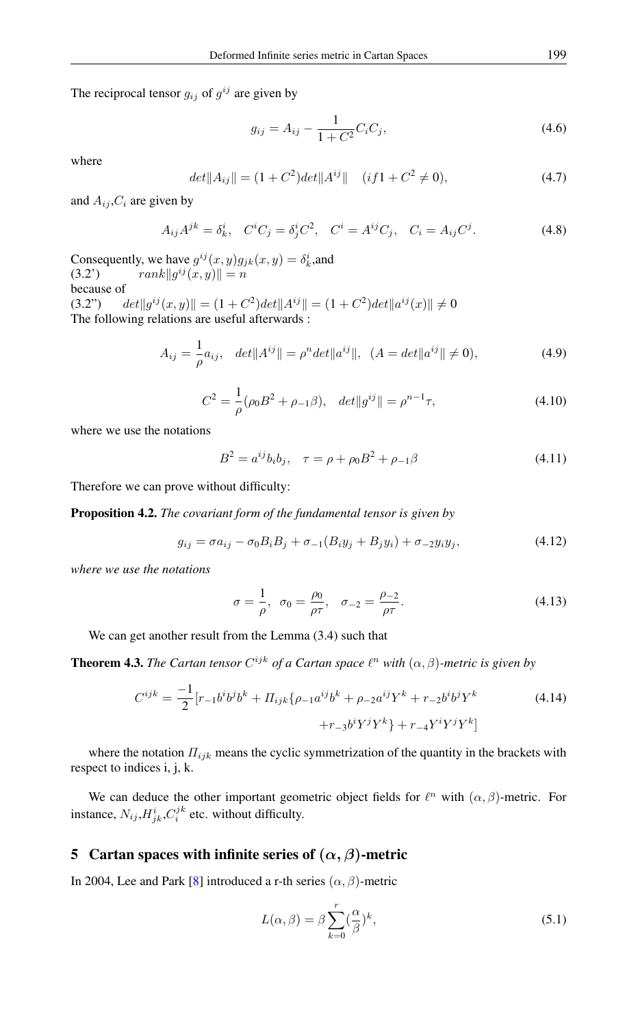The reciprocal tensor  $g_{ij}$  of  $g^{ij}$  are given by

$$
g_{ij} = A_{ij} - \frac{1}{1 + C^2} C_i C_j,
$$
\n(4.6)

where

$$
det||A_{ij}|| = (1 + C^2)det||A^{ij}|| \quad (if 1 + C^2 \neq 0),
$$
\n(4.7)

and  $A_{ij}$ ,  $C_i$  are given by

$$
A_{ij}A^{jk} = \delta^i_k, \quad C^i C_j = \delta^i_j C^2, \quad C^i = A^{ij} C_j, \quad C_i = A_{ij} C^j.
$$
 (4.8)

Consequently, we have  $g^{ij}(x, y)g_{jk}(x, y) = \delta^i_k$ , and (3.2')  $rank||g^{ij}(x,y)|| = n$ because of  $(3.2")$  $\|i^j(x,y)\| = (1+C^2)det||A^{ij}|| = (1+C^2)det||a^{ij}(x)|| \neq 0$ The following relations are useful afterwards :

$$
A_{ij} = \frac{1}{\rho} a_{ij}, \quad det||A^{ij}|| = \rho^n det||a^{ij}||, \quad (A = det||a^{ij}|| \neq 0), \tag{4.9}
$$

$$
C^{2} = \frac{1}{\rho}(\rho_{0}B^{2} + \rho_{-1}\beta), \quad det||g^{ij}|| = \rho^{n-1}\tau,
$$
\n(4.10)

where we use the notations

$$
B^{2} = a^{ij}b_{i}b_{j}, \quad \tau = \rho + \rho_{0}B^{2} + \rho_{-1}\beta
$$
\n(4.11)

Therefore we can prove without difficulty:

Proposition 4.2. *The covariant form of the fundamental tensor is given by*

$$
g_{ij} = \sigma a_{ij} - \sigma_0 B_i B_j + \sigma_{-1} (B_i y_j + B_j y_i) + \sigma_{-2} y_i y_j, \qquad (4.12)
$$

*where we use the notations*

$$
\sigma = \frac{1}{\rho}, \ \ \sigma_0 = \frac{\rho_0}{\rho \tau}, \ \ \sigma_{-2} = \frac{\rho_{-2}}{\rho \tau}.
$$
 (4.13)

We can get another result from the Lemma (3.4) such that

**Theorem 4.3.** *The Cartan tensor*  $C^{ijk}$  *of a Cartan space*  $\ell^n$  *with*  $(\alpha, \beta)$ *-metric is given by* 

$$
C^{ijk} = \frac{-1}{2} [r_{-1}b^i b^j b^k + \Pi_{ijk} \{ \rho_{-1} a^{ij} b^k + \rho_{-2} a^{ij} Y^k + r_{-2} b^i b^j Y^k \} + r_{-3} b^i Y^j Y^k \} + r_{-4} Y^i Y^j Y^k]
$$
(4.14)

where the notation  $\Pi_{ijk}$  means the cyclic symmetrization of the quantity in the brackets with respect to indices i, j, k.

We can deduce the other important geometric object fields for  $\ell^n$  with  $(\alpha, \beta)$ -metric. For instance,  $N_{ij}$ ,  $H_{jk}^{i}$ ,  $C_{i}^{jk}$  etc. without difficulty.

### 5 Cartan spaces with infinite series of  $(\alpha, \beta)$ -metric

In 2004, Lee and Park [\[8\]](#page-9-1) introduced a r-th series  $(\alpha, \beta)$ -metric

$$
L(\alpha, \beta) = \beta \sum_{k=0}^{r} \left(\frac{\alpha}{\beta}\right)^k, \tag{5.1}
$$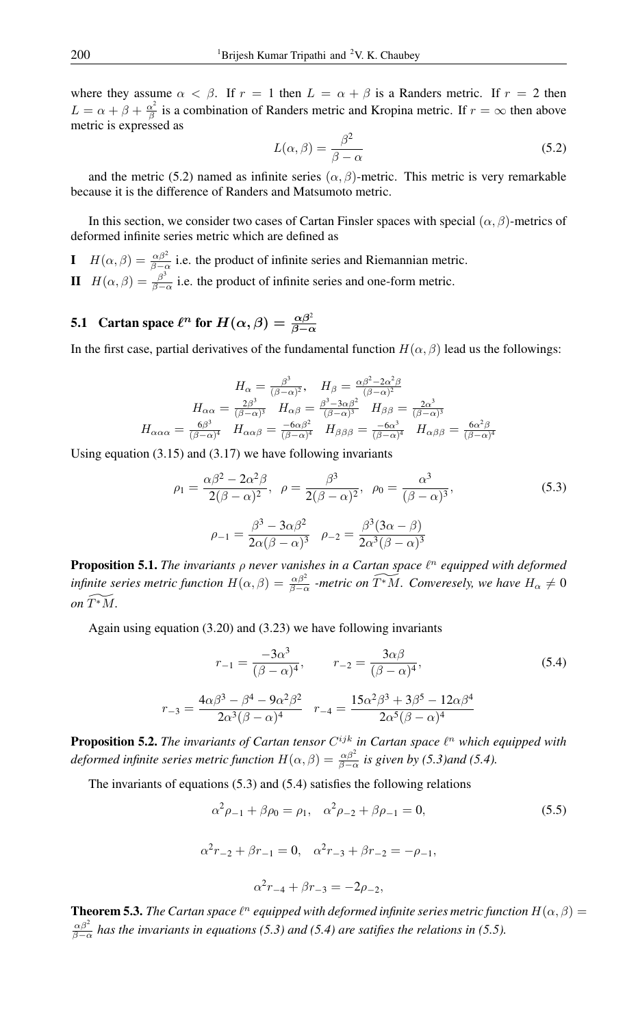where they assume  $\alpha < \beta$ . If  $r = 1$  then  $L = \alpha + \beta$  is a Randers metric. If  $r = 2$  then  $L = \alpha + \beta + \frac{\alpha^2}{\beta}$  $\frac{\alpha}{\beta}$  is a combination of Randers metric and Kropina metric. If  $r = \infty$  then above metric is expressed as

$$
L(\alpha, \beta) = \frac{\beta^2}{\beta - \alpha} \tag{5.2}
$$

and the metric (5.2) named as infinite series ( $\alpha$ ,  $\beta$ )-metric. This metric is very remarkable because it is the difference of Randers and Matsumoto metric.

In this section, we consider two cases of Cartan Finsler spaces with special  $(\alpha, \beta)$ -metrics of deformed infinite series metric which are defined as

I  $H(\alpha, \beta) = \frac{\alpha \beta^2}{\beta - \alpha}$  i.e. the product of infinite series and Riemannian metric.  $H\left(\alpha,\beta\right)=\frac{\beta^3}{\beta-1}$  $\frac{\beta}{\beta-\alpha}$  i.e. the product of infinite series and one-form metric.

# **5.1** Cartan space  $\ell^n$  for  $H(\alpha, \beta) = \frac{\alpha \beta^2}{\beta - \alpha}$

In the first case, partial derivatives of the fundamental function  $H(\alpha, \beta)$  lead us the followings:

$$
H_{\alpha} = \frac{\beta^3}{(\beta - \alpha)^2}, \quad H_{\beta} = \frac{\alpha \beta^2 - 2\alpha^2 \beta}{(\beta - \alpha)^2}
$$

$$
H_{\alpha\alpha} = \frac{2\beta^3}{(\beta - \alpha)^3} \quad H_{\alpha\beta} = \frac{\beta^3 - 3\alpha \beta^2}{(\beta - \alpha)^3} \quad H_{\beta\beta} = \frac{2\alpha^3}{(\beta - \alpha)^3}
$$

$$
H_{\alpha\alpha\alpha} = \frac{6\beta^3}{(\beta - \alpha)^4} \quad H_{\alpha\alpha\beta} = \frac{-6\alpha \beta^2}{(\beta - \alpha)^4} \quad H_{\beta\beta\beta} = \frac{-6\alpha^3}{(\beta - \alpha)^4} \quad H_{\alpha\beta\beta} = \frac{6\alpha^2 \beta}{(\beta - \alpha)^4}
$$

Using equation (3.15) and (3.17) we have following invariants

$$
\rho_1 = \frac{\alpha \beta^2 - 2\alpha^2 \beta}{2(\beta - \alpha)^2}, \ \rho = \frac{\beta^3}{2(\beta - \alpha)^2}, \ \rho_0 = \frac{\alpha^3}{(\beta - \alpha)^3},
$$
\n
$$
\rho_{-1} = \frac{\beta^3 - 3\alpha \beta^2}{2\alpha(\beta - \alpha)^3}, \ \rho_{-2} = \frac{\beta^3 (3\alpha - \beta)}{2\alpha^3 (\beta - \alpha)^3}
$$
\n(5.3)

**Proposition 5.1.** *The invariants*  $\rho$  *never vanishes in a Cartan space*  $\ell^n$  equipped with deformed *infinite series metric function*  $H(\alpha, \beta) = \frac{\alpha \beta^2}{\beta - \alpha}$  -metric on  $\widetilde{T^*M}$ . Converesely, we have  $H_\alpha \neq 0$  $on \widetilde{T}^*M$ .

Again using equation (3.20) and (3.23) we have following invariants

$$
r_{-1} = \frac{-3\alpha^3}{(\beta - \alpha)^4}, \qquad r_{-2} = \frac{3\alpha\beta}{(\beta - \alpha)^4},
$$
\n
$$
r_{-3} = \frac{4\alpha\beta^3 - \beta^4 - 9\alpha^2\beta^2}{2\alpha^3(\beta - \alpha)^4} \qquad r_{-4} = \frac{15\alpha^2\beta^3 + 3\beta^5 - 12\alpha\beta^4}{2\alpha^5(\beta - \alpha)^4}
$$
\n(5.4)

**Proposition 5.2.** The invariants of Cartan tensor  $C^{ijk}$  in Cartan space  $\ell^n$  which equipped with *deformed infinite series metric function*  $H(\alpha, \beta) = \frac{\alpha \beta^2}{\beta - \alpha}$  is given by (5.3)and (5.4).

The invariants of equations (5.3) and (5.4) satisfies the following relations

$$
\alpha^2 \rho_{-1} + \beta \rho_0 = \rho_1, \quad \alpha^2 \rho_{-2} + \beta \rho_{-1} = 0,
$$
\n(5.5)

$$
\alpha^{2}r_{-2} + \beta r_{-1} = 0, \quad \alpha^{2}r_{-3} + \beta r_{-2} = -\rho_{-1},
$$
  

$$
\alpha^{2}r_{-4} + \beta r_{-3} = -2\rho_{-2},
$$

**Theorem 5.3.** *The Cartan space*  $\ell^n$  *equipped with deformed infinite series metric function*  $H(\alpha, \beta)$  =  $\frac{\alpha\beta^2}{\beta-\alpha}$  has the invariants in equations (5.3) and (5.4) are satifies the relations in (5.5).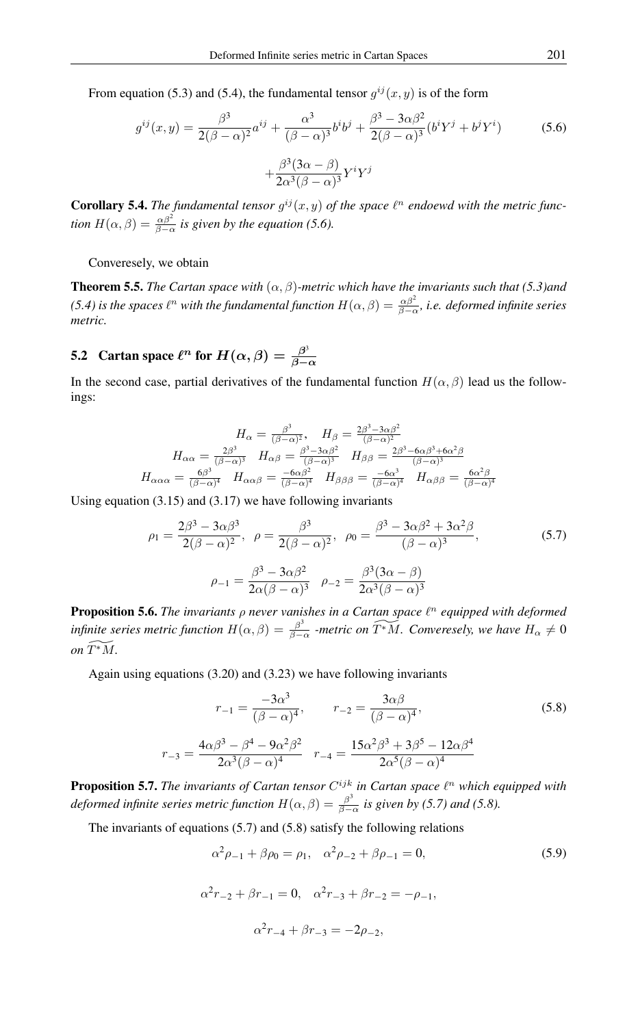From equation (5.3) and (5.4), the fundamental tensor  $g^{ij}(x, y)$  is of the form

$$
g^{ij}(x,y) = \frac{\beta^3}{2(\beta - \alpha)^2} a^{ij} + \frac{\alpha^3}{(\beta - \alpha)^3} b^i b^j + \frac{\beta^3 - 3\alpha\beta^2}{2(\beta - \alpha)^3} (b^i Y^j + b^j Y^i) + \frac{\beta^3 (3\alpha - \beta)}{2\alpha^3 (\beta - \alpha)^3} Y^i Y^j
$$
(5.6)

**Corollary 5.4.** The fundamental tensor  $g^{ij}(x, y)$  of the space  $\ell^n$  endoewd with the metric func*tion*  $H(\alpha, \beta) = \frac{\alpha \beta^2}{\beta - \alpha}$  *is given by the equation* (5.6).

Converesely, we obtain

**Theorem 5.5.** *The Cartan space with*  $(\alpha, \beta)$ *-metric which have the invariants such that* (5.3)*and (5.4) is the spaces*  $\ell^n$  *with the fundamental function*  $H(\alpha, \beta) = \frac{\alpha \beta^2}{\beta - \alpha}$ *, i.e. deformed infinite series metric.*

#### 5.2 Cartan space  $\ell^n$  for  $H(\alpha, \beta) = \frac{\beta^3}{\beta - 1}$  $_{\beta-\alpha}$

 $\overline{r}$ 

In the second case, partial derivatives of the fundamental function  $H(\alpha, \beta)$  lead us the followings:

$$
H_{\alpha} = \frac{\beta^3}{(\beta - \alpha)^2}, \quad H_{\beta} = \frac{2\beta^3 - 3\alpha\beta^2}{(\beta - \alpha)^2}
$$

$$
H_{\alpha\alpha} = \frac{2\beta^3}{(\beta - \alpha)^3} \quad H_{\alpha\beta} = \frac{\beta^3 - 3\alpha\beta^2}{(\beta - \alpha)^3} \quad H_{\beta\beta} = \frac{2\beta^3 - 6\alpha\beta^3 + 6\alpha^2\beta}{(\beta - \alpha)^3}
$$

$$
H_{\alpha\alpha\alpha} = \frac{6\beta^3}{(\beta - \alpha)^4} \quad H_{\alpha\alpha\beta} = \frac{-6\alpha\beta^2}{(\beta - \alpha)^4} \quad H_{\beta\beta\beta} = \frac{-6\alpha^3}{(\beta - \alpha)^4} \quad H_{\alpha\beta\beta} = \frac{6\alpha^2\beta}{(\beta - \alpha)^4}
$$

Using equation  $(3.15)$  and  $(3.17)$  we have following invariants

$$
\rho_1 = \frac{2\beta^3 - 3\alpha\beta^3}{2(\beta - \alpha)^2}, \ \rho = \frac{\beta^3}{2(\beta - \alpha)^2}, \ \rho_0 = \frac{\beta^3 - 3\alpha\beta^2 + 3\alpha^2\beta}{(\beta - \alpha)^3},
$$
\n
$$
\rho_{-1} = \frac{\beta^3 - 3\alpha\beta^2}{2\alpha(\beta - \alpha)^3}, \ \rho_{-2} = \frac{\beta^3(3\alpha - \beta)}{2\alpha^3(\beta - \alpha)^3}
$$
\n(5.7)

**Proposition 5.6.** The invariants  $\rho$  never vanishes in a Cartan space  $\ell^n$  equipped with deformed *infinite series metric function*  $H(\alpha, \beta) = \frac{\beta^3}{\beta - \beta}$  $\frac{\beta^3}{\beta-\alpha}$  -metric on  $\widetilde{T^*M}$ . Converesely, we have  $H_\alpha\neq 0$ *on*  $\widetilde{T^*M}$ .

Again using equations (3.20) and (3.23) we have following invariants

$$
r_{-1} = \frac{-3\alpha^3}{(\beta - \alpha)^4}, \qquad r_{-2} = \frac{3\alpha\beta}{(\beta - \alpha)^4},
$$
\n
$$
r_{-3} = \frac{4\alpha\beta^3 - \beta^4 - 9\alpha^2\beta^2}{2\alpha^3(\beta - \alpha)^4}, \qquad r_{-4} = \frac{15\alpha^2\beta^3 + 3\beta^5 - 12\alpha\beta^4}{2\alpha^5(\beta - \alpha)^4}
$$
\n(5.8)

**Proposition 5.7.** The invariants of Cartan tensor  $C^{ijk}$  in Cartan space  $\ell^n$  which equipped with *deformed infinite series metric function*  $H(\alpha, \beta) = \frac{\beta^3}{\beta - 1}$  $\frac{\beta}{\beta-\alpha}$  is given by (5.7) and (5.8).

The invariants of equations (5.7) and (5.8) satisfy the following relations

$$
\alpha^2 \rho_{-1} + \beta \rho_0 = \rho_1, \quad \alpha^2 \rho_{-2} + \beta \rho_{-1} = 0,
$$
\n(5.9)

$$
\alpha^{2}r_{-2} + \beta r_{-1} = 0, \quad \alpha^{2}r_{-3} + \beta r_{-2} = -\rho_{-1},
$$
  

$$
\alpha^{2}r_{-4} + \beta r_{-3} = -2\rho_{-2},
$$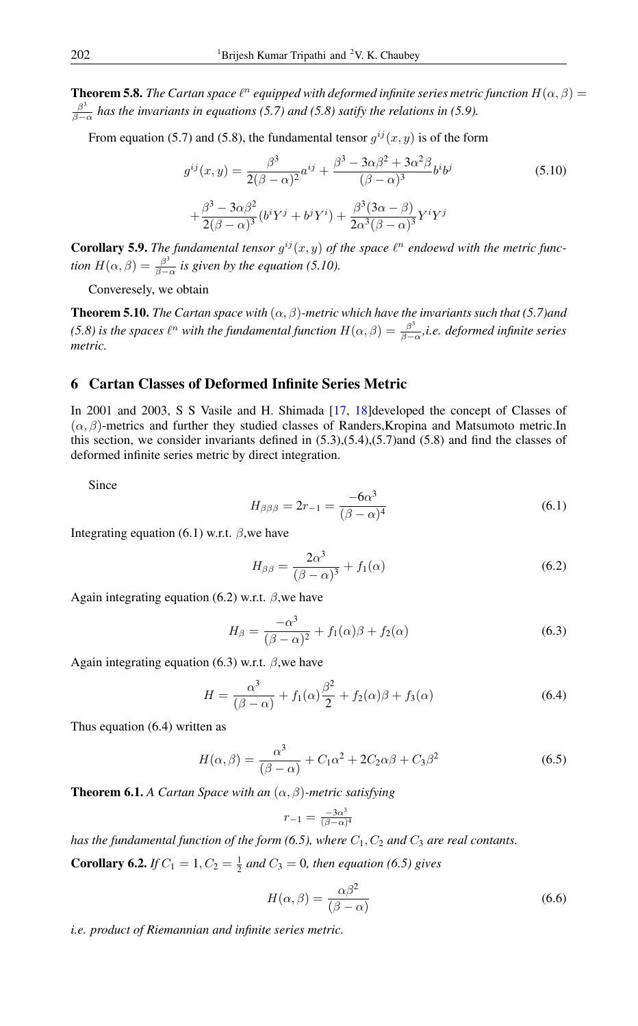**Theorem 5.8.** *The Cartan space*  $\ell^n$  *equipped with deformed infinite series metric function*  $H(\alpha, \beta)$  *=*  $\beta^3$ β−α *has the invariants in equations (5.7) and (5.8) satify the relations in (5.9).*

From equation (5.7) and (5.8), the fundamental tensor  $g^{ij}(x, y)$  is of the form

$$
g^{ij}(x,y) = \frac{\beta^3}{2(\beta-\alpha)^2}a^{ij} + \frac{\beta^3 - 3\alpha\beta^2 + 3\alpha^2\beta}{(\beta-\alpha)^3}b^ib^j
$$
  
+
$$
\frac{\beta^3 - 3\alpha\beta^2}{2(\beta-\alpha)^3}(b^iY^j + b^jY^i) + \frac{\beta^3(3\alpha-\beta)}{2\alpha^3(\beta-\alpha)^3}Y^iY^j
$$
(5.10)

**Corollary 5.9.** The fundamental tensor  $g^{ij}(x, y)$  of the space  $\ell^n$  endoewd with the metric func*tion*  $H(\alpha, \beta) = \frac{\beta^3}{\beta - \beta}$  $\frac{\beta}{\beta-\alpha}$  is given by the equation (5.10).

Converesely, we obtain

**Theorem 5.10.** *The Cartan space with*  $(\alpha, \beta)$ *-metric which have the invariants such that* (5.7)*and* (5.8) is the spaces  $\ell^n$  with the fundamental function  $H(\alpha, \beta) = \frac{\beta^3}{\beta - 1}$ β−α *,i.e. deformed infinite series metric.*

### 6 Cartan Classes of Deformed Infinite Series Metric

In 2001 and 2003, S S Vasile and H. Shimada [\[17,](#page-10-0) [18\]](#page-10-2)developed the concept of Classes of  $(\alpha, \beta)$ -metrics and further they studied classes of Randers, Kropina and Matsumoto metric.In this section, we consider invariants defined in  $(5.3)$ , $(5.4)$ , $(5.7)$ and  $(5.8)$  and find the classes of deformed infinite series metric by direct integration.

Since

$$
H_{\beta\beta\beta} = 2r_{-1} = \frac{-6\alpha^3}{(\beta - \alpha)^4}
$$
 (6.1)

Integrating equation (6.1) w.r.t.  $\beta$ , we have

$$
H_{\beta\beta} = \frac{2\alpha^3}{(\beta - \alpha)^3} + f_1(\alpha) \tag{6.2}
$$

Again integrating equation (6.2) w.r.t.  $\beta$ , we have

$$
H_{\beta} = \frac{-\alpha^3}{(\beta - \alpha)^2} + f_1(\alpha)\beta + f_2(\alpha) \tag{6.3}
$$

Again integrating equation (6.3) w.r.t.  $\beta$ , we have

$$
H = \frac{\alpha^3}{(\beta - \alpha)} + f_1(\alpha)\frac{\beta^2}{2} + f_2(\alpha)\beta + f_3(\alpha)
$$
\n(6.4)

Thus equation (6.4) written as

$$
H(\alpha, \beta) = \frac{\alpha^3}{(\beta - \alpha)} + C_1 \alpha^2 + 2C_2 \alpha \beta + C_3 \beta^2
$$
\n(6.5)

Theorem 6.1. *A Cartan Space with an* (α, β)*-metric satisfying*

$$
r_{-1}=\tfrac{-3\alpha^3}{(\beta-\alpha)^4}
$$

*has the fundamental function of the form (6.5), where*  $C_1$ ,  $C_2$  *and*  $C_3$  *are real contants.* 

**Corollary 6.2.** *If*  $C_1 = 1$ ,  $C_2 = \frac{1}{2}$  *and*  $C_3 = 0$ *, then equation (6.5) gives* 

$$
H(\alpha, \beta) = \frac{\alpha \beta^2}{(\beta - \alpha)}
$$
\n(6.6)

*i.e. product of Riemannian and infinite series metric.*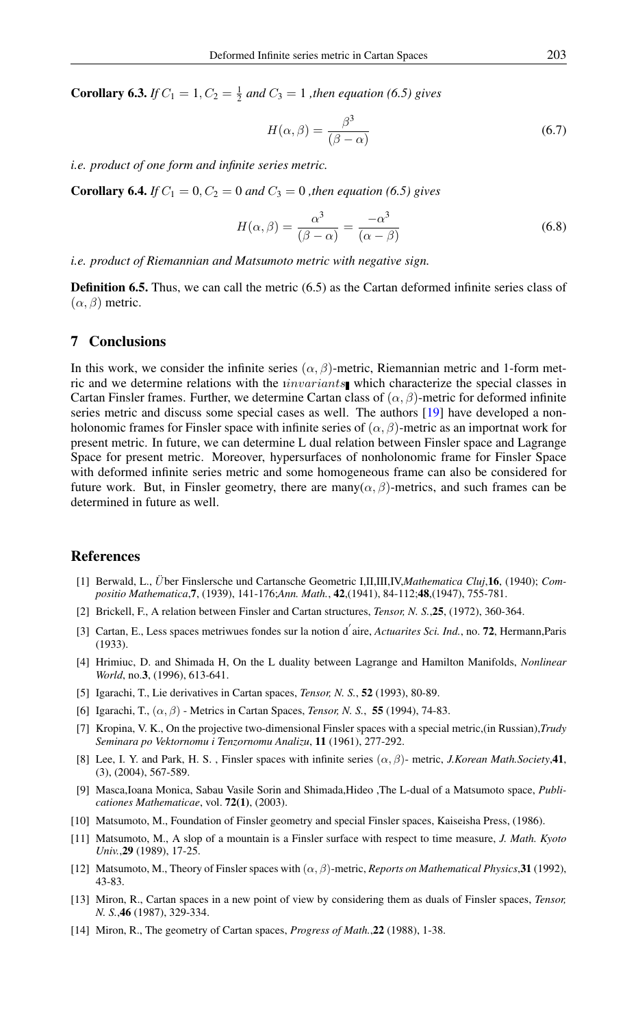**Corollary 6.3.** *If*  $C_1 = 1, C_2 = \frac{1}{2}$  *and*  $C_3 = 1$  *, then equation (6.5) gives* 

$$
H(\alpha, \beta) = \frac{\beta^3}{(\beta - \alpha)}
$$
\n(6.7)

*i.e. product of one form and infinite series metric.*

**Corollary 6.4.** *If*  $C_1 = 0, C_2 = 0$  *and*  $C_3 = 0$  *, then equation* (6.5) gives

$$
H(\alpha, \beta) = \frac{\alpha^3}{(\beta - \alpha)} = \frac{-\alpha^3}{(\alpha - \beta)}
$$
(6.8)

*i.e. product of Riemannian and Matsumoto metric with negative sign.*

**Definition 6.5.** Thus, we can call the metric (6.5) as the Cartan deformed infinite series class of  $(\alpha, \beta)$  metric.

### 7 Conclusions

In this work, we consider the infinite series  $(\alpha, \beta)$ -metric, Riemannian metric and 1-form metric and we determine relations with the *invariants* which characterize the special classes in Cartan Finsler frames. Further, we determine Cartan class of  $(\alpha, \beta)$ -metric for deformed infinite series metric and discuss some special cases as well. The authors [\[19\]](#page-10-3) have developed a nonholonomic frames for Finsler space with infinite series of  $(\alpha, \beta)$ -metric as an importnat work for present metric. In future, we can determine L dual relation between Finsler space and Lagrange Space for present metric. Moreover, hypersurfaces of nonholonomic frame for Finsler Space with deformed infinite series metric and some homogeneous frame can also be considered for future work. But, in Finsler geometry, there are many( $\alpha$ ,  $\beta$ )-metrics, and such frames can be determined in future as well.

### <span id="page-9-0"></span>References

- <span id="page-9-5"></span>[1] Berwald, L., U¨ ber Finslersche und Cartansche Geometric I,II,III,IV,*Mathematica Cluj*,16, (1940); *Compositio Mathematica*,7, (1939), 141-176;*Ann. Math.*, 42,(1941), 84-112;48,(1947), 755-781.
- <span id="page-9-6"></span>[2] Brickell, F., A relation between Finsler and Cartan structures, *Tensor, N. S.*,25, (1972), 360-364.
- <span id="page-9-4"></span>[3] Cartan, E., Less spaces metriwues fondes sur la notion d<sup>'</sup>aire, *Actuarites Sci. Ind.*, no. **72**, Hermann, Paris (1933).
- <span id="page-9-9"></span>[4] Hrimiuc, D. and Shimada H, On the L duality between Lagrange and Hamilton Manifolds, *Nonlinear World*, no.3, (1996), 613-641.
- <span id="page-9-2"></span>[5] Igarachi, T., Lie derivatives in Cartan spaces, *Tensor, N. S.*, 52 (1993), 80-89.
- <span id="page-9-3"></span>[6] Igarachi, T., (α, β) - Metrics in Cartan Spaces, *Tensor, N. S.*, 55 (1994), 74-83.
- <span id="page-9-10"></span>[7] Kropina, V. K., On the projective two-dimensional Finsler spaces with a special metric,(in Russian),*Trudy Seminara po Vektornomu i Tenzornomu Analizu*, 11 (1961), 277-292.
- <span id="page-9-1"></span>[8] Lee, I. Y. and Park, H. S., Finsler spaces with infinite series  $(\alpha, \beta)$ - metric, *J.Korean Math.Society*,41, (3), (2004), 567-589.
- [9] Masca,Ioana Monica, Sabau Vasile Sorin and Shimada,Hideo ,The L-dual of a Matsumoto space, *Publicationes Mathematicae*, vol. 72(1), (2003).
- <span id="page-9-11"></span>[10] Matsumoto, M., Foundation of Finsler geometry and special Finsler spaces, Kaiseisha Press, (1986).
- <span id="page-9-12"></span>[11] Matsumoto, M., A slop of a mountain is a Finsler surface with respect to time measure, *J. Math. Kyoto Univ.*,29 (1989), 17-25.
- <span id="page-9-13"></span>[12] Matsumoto, M., Theory of Finsler spaces with (α, β)-metric, *Reports on Mathematical Physics*,31 (1992), 43-83.
- <span id="page-9-7"></span>[13] Miron, R., Cartan spaces in a new point of view by considering them as duals of Finsler spaces, *Tensor, N. S.*,46 (1987), 329-334.
- <span id="page-9-8"></span>[14] Miron, R., The geometry of Cartan spaces, *Progress of Math.*,22 (1988), 1-38.